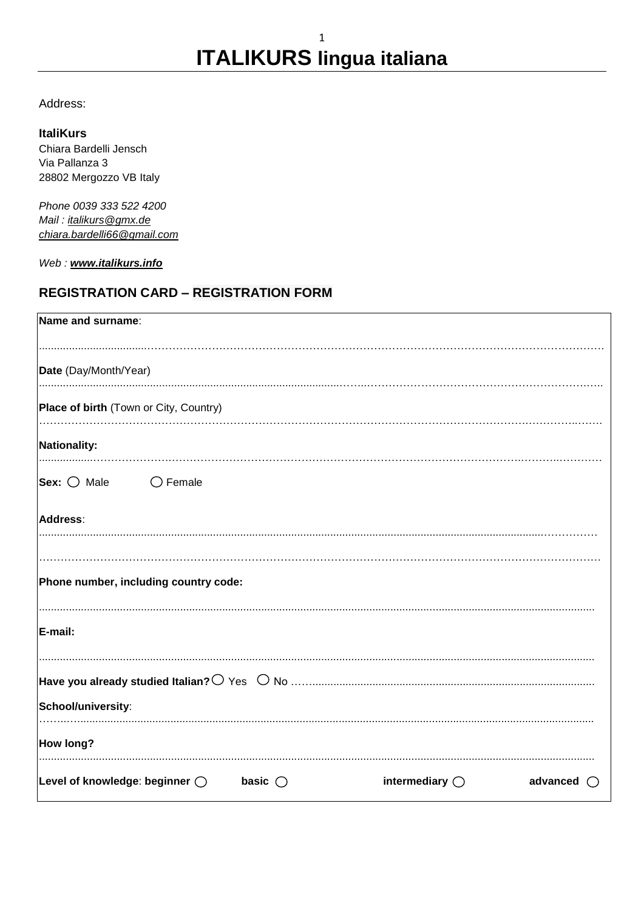Address:

#### **ItaliKurs**

Chiara Bardelli Jensch Via Pallanza 3 28802 Mergozzo VB Italy

Phone 0039 333 522 4200 Mail: italikurs@gmx.de chiara.bardelli66@gmail.com

Web: www.italikurs.info

### **REGISTRATION CARD - REGISTRATION FORM**

| Name and surname:                         |                  |                         |                 |
|-------------------------------------------|------------------|-------------------------|-----------------|
| Date (Day/Month/Year)                     |                  |                         |                 |
| Place of birth (Town or City, Country)    |                  |                         |                 |
| Nationality:                              |                  |                         |                 |
| Sex: $\bigcirc$ Male<br>$\bigcirc$ Female |                  |                         |                 |
| Address:                                  |                  |                         |                 |
| Phone number, including country code:     |                  |                         |                 |
| E-mail:                                   |                  |                         |                 |
| School/university:                        |                  |                         |                 |
| How long?                                 |                  |                         |                 |
| Level of knowledge: beginner $\bigcirc$   | basic $\bigcirc$ | intermediary $\bigcirc$ | advanced<br>( ) |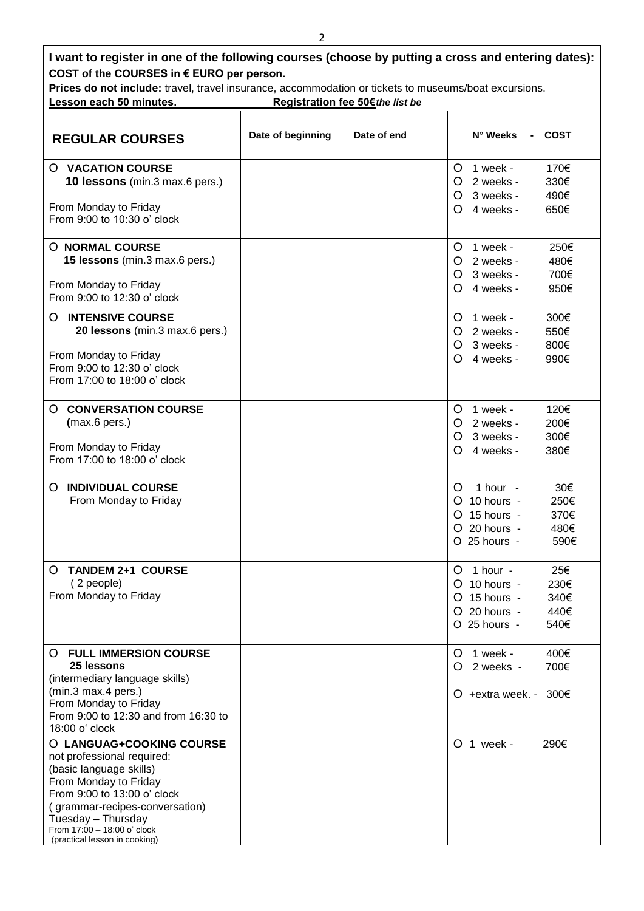| I want to register in one of the following courses (choose by putting a cross and entering dates):<br>COST of the COURSES in € EURO per person.                                                                                                                   |                   |             |                                                                                                                        |  |  |
|-------------------------------------------------------------------------------------------------------------------------------------------------------------------------------------------------------------------------------------------------------------------|-------------------|-------------|------------------------------------------------------------------------------------------------------------------------|--|--|
| Prices do not include: travel, travel insurance, accommodation or tickets to museums/boat excursions.<br>Lesson each 50 minutes.<br>Registration fee 50€ the list be                                                                                              |                   |             |                                                                                                                        |  |  |
| <b>REGULAR COURSES</b>                                                                                                                                                                                                                                            | Date of beginning | Date of end | N° Weeks<br>COST                                                                                                       |  |  |
| <b>O VACATION COURSE</b><br>10 lessons (min.3 max.6 pers.)<br>From Monday to Friday                                                                                                                                                                               |                   |             | 1 week -<br>170€<br>O<br>2 weeks -<br>330€<br>O<br>3 weeks -<br>490€<br>O<br>4 weeks -<br>650€<br>O.                   |  |  |
| From 9:00 to 10:30 o' clock<br><b>O NORMAL COURSE</b><br>15 lessons (min.3 max.6 pers.)<br>From Monday to Friday                                                                                                                                                  |                   |             | 250€<br>1 week -<br>Ő<br>2 weeks -<br>480€<br>O<br>3 weeks -<br>700€<br>O<br>950€<br>4 weeks -<br>$\Omega$             |  |  |
| From 9:00 to 12:30 o' clock<br><b>INTENSIVE COURSE</b><br>O<br>20 lessons (min.3 max.6 pers.)<br>From Monday to Friday<br>From 9:00 to 12:30 o' clock<br>From 17:00 to 18:00 o' clock                                                                             |                   |             | 1 week -<br>300€<br>O<br>2 weeks -<br>550€<br>Ő<br>3 weeks -<br>800€<br>O.<br>4 weeks -<br>990€<br>$\Omega$            |  |  |
| <b>CONVERSATION COURSE</b><br>Ő<br>(max.6 pers.)<br>From Monday to Friday<br>From 17:00 to 18:00 o' clock                                                                                                                                                         |                   |             | 120€<br>1 week -<br>Ő<br>O 2 weeks -<br>200€<br>300€<br>3 weeks -<br>$\Omega$<br>4 weeks -<br>380€<br>$\Omega$         |  |  |
| <b>INDIVIDUAL COURSE</b><br>O<br>From Monday to Friday                                                                                                                                                                                                            |                   |             | 30€<br>1 hour $-$<br>Ő<br>O 10 hours -<br>250€<br>O 15 hours -<br>370€<br>480€<br>O 20 hours -<br>O 25 hours -<br>590€ |  |  |
| <b>TANDEM 2+1 COURSE</b><br>O<br>(2 people)<br>From Monday to Friday                                                                                                                                                                                              |                   |             | $O$ 1 hour -<br>25€<br>O 10 hours -<br>230€<br>O 15 hours -<br>340€<br>O 20 hours -<br>440€<br>540€<br>O 25 hours -    |  |  |
| <b>O FULL IMMERSION COURSE</b><br>25 lessons<br>(intermediary language skills)<br>(min.3 max.4 pers.)<br>From Monday to Friday<br>From 9:00 to 12:30 and from 16:30 to<br>18:00 o' clock                                                                          |                   |             | $O$ 1 week -<br>400€<br>O 2 weeks -<br>700€<br>O +extra week. - 300 $\epsilon$                                         |  |  |
| O LANGUAG+COOKING COURSE<br>not professional required:<br>(basic language skills)<br>From Monday to Friday<br>From 9:00 to 13:00 o' clock<br>(grammar-recipes-conversation)<br>Tuesday - Thursday<br>From 17:00 - 18:00 o' clock<br>(practical lesson in cooking) |                   |             | O 1 week -<br>290€                                                                                                     |  |  |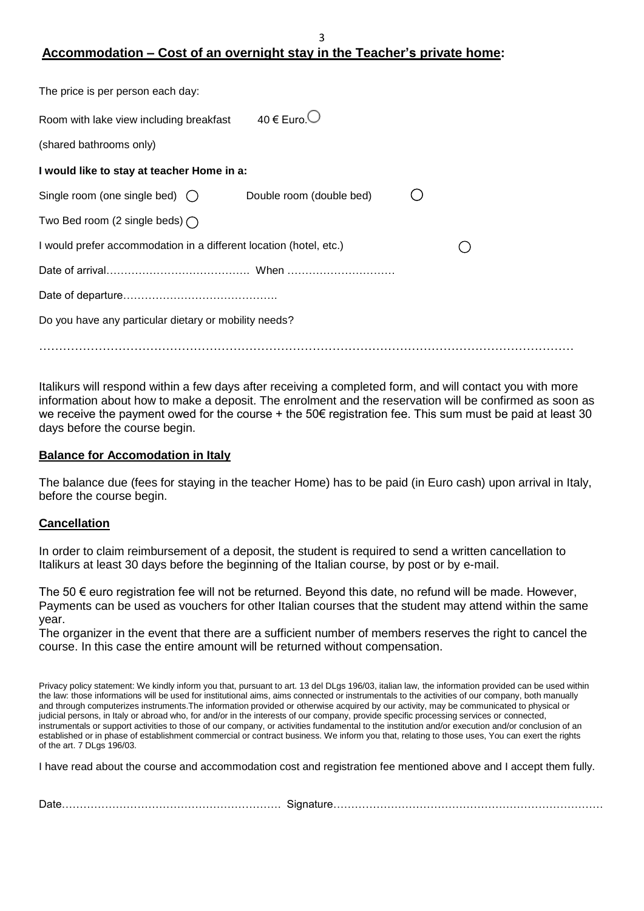## **Accommodation – Cost of an overnight stay in the Teacher's private home:**

3

| The price is per person each day:                                  |                           |  |
|--------------------------------------------------------------------|---------------------------|--|
| Room with lake view including breakfast                            | 40 $\in$ Euro. $\bigcirc$ |  |
| (shared bathrooms only)                                            |                           |  |
| I would like to stay at teacher Home in a:                         |                           |  |
| Single room (one single bed) $\bigcirc$                            | Double room (double bed)  |  |
| Two Bed room (2 single beds) $\bigcap$                             |                           |  |
| I would prefer accommodation in a different location (hotel, etc.) |                           |  |
|                                                                    |                           |  |
|                                                                    |                           |  |
| Do you have any particular dietary or mobility needs?              |                           |  |
|                                                                    |                           |  |

Italikurs will respond within a few days after receiving a completed form, and will contact you with more information about how to make a deposit. The enrolment and the reservation will be confirmed as soon as we receive the payment owed for the course + the 50€ registration fee. This sum must be paid at least 30 days before the course begin.

#### **Balance for Accomodation in Italy**

The balance due (fees for staying in the teacher Home) has to be paid (in Euro cash) upon arrival in Italy, before the course begin.

#### **Cancellation**

In order to claim reimbursement of a deposit, the student is required to send a written cancellation to Italikurs at least 30 days before the beginning of the Italian course, by post or by e-mail.

The 50  $\epsilon$  euro registration fee will not be returned. Beyond this date, no refund will be made. However, Payments can be used as vouchers for other Italian courses that the student may attend within the same year.

The organizer in the event that there are a sufficient number of members reserves the right to cancel the course. In this case the entire amount will be returned without compensation.

Privacy policy statement: We kindly inform you that, pursuant to art. 13 del DLgs 196/03, italian law, the information provided can be used within the law: those informations will be used for institutional aims, aims connected or instrumentals to the activities of our company, both manually and through computerizes instruments.The information provided or otherwise acquired by our activity, may be communicated to physical or judicial persons, in Italy or abroad who, for and/or in the interests of our company, provide specific processing services or connected, instrumentals or support activities to those of our company, or activities fundamental to the institution and/or execution and/or conclusion of an established or in phase of establishment commercial or contract business. We inform you that, relating to those uses, You can exert the rights of the art. 7 DLgs 196/03.

I have read about the course and accommodation cost and registration fee mentioned above and I accept them fully.

|--|--|